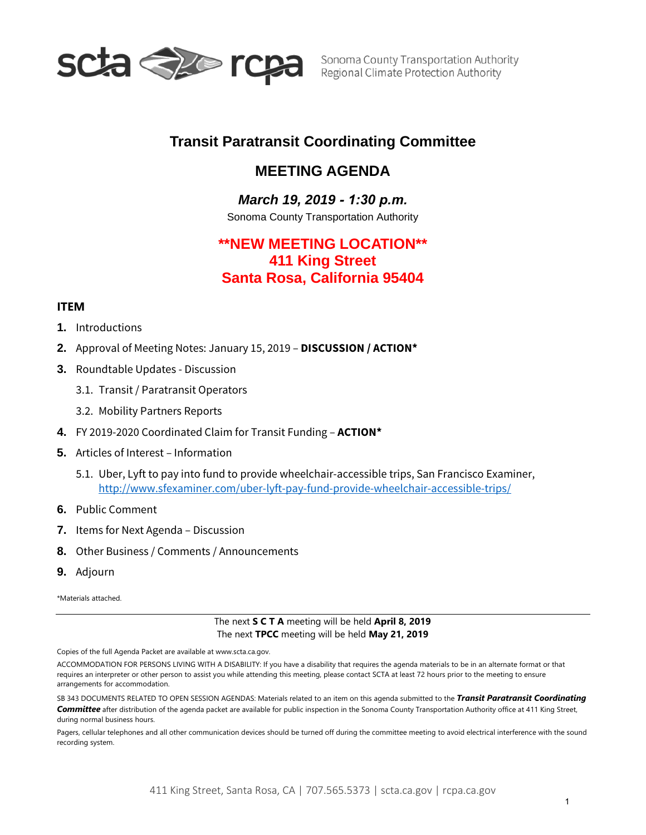

# **Transit Paratransit Coordinating Committee**

## *1B***MEETING AGENDA**

## *March 19, 2019 - 1:30 p.m.*

Sonoma County Transportation Authority

# **\*\*NEW MEETING LOCATION\*\* 411 King Street Santa Rosa, California 95404**

## **ITEM**

- **1.** Introductions
- **2.** Approval of Meeting Notes: January 15, 2019 **DISCUSSION / ACTION\***
- **3.** Roundtable Updates Discussion
	- 3.1. Transit / Paratransit Operators
	- 3.2. Mobility Partners Reports
- **4.** FY 2019-2020 Coordinated Claim for Transit Funding **ACTION\***
- **5.** Articles of Interest Information
	- 5.1. Uber, Lyft to pay into fund to provide wheelchair-accessible trips, San Francisco Examiner, <http://www.sfexaminer.com/uber-lyft-pay-fund-provide-wheelchair-accessible-trips/>
- **6.** Public Comment
- **7.** Items for Next Agenda Discussion
- **8.** Other Business / Comments / Announcements
- **9.** Adjourn

\*Materials attached.

The next **S C T A** meeting will be held **April 8, 2019** The next **TPCC** meeting will be held **May 21, 2019**

Copies of the full Agenda Packet are available at www.scta.ca.gov.

ACCOMMODATION FOR PERSONS LIVING WITH A DISABILITY: If you have a disability that requires the agenda materials to be in an alternate format or that requires an interpreter or other person to assist you while attending this meeting, please contact SCTA at least 72 hours prior to the meeting to ensure arrangements for accommodation.

SB 343 DOCUMENTS RELATED TO OPEN SESSION AGENDAS: Materials related to an item on this agenda submitted to the *Transit Paratransit Coordinating Committee* after distribution of the agenda packet are available for public inspection in the Sonoma County Transportation Authority office at 411 King Street, during normal business hours.

Pagers, cellular telephones and all other communication devices should be turned off during the committee meeting to avoid electrical interference with the sound recording system.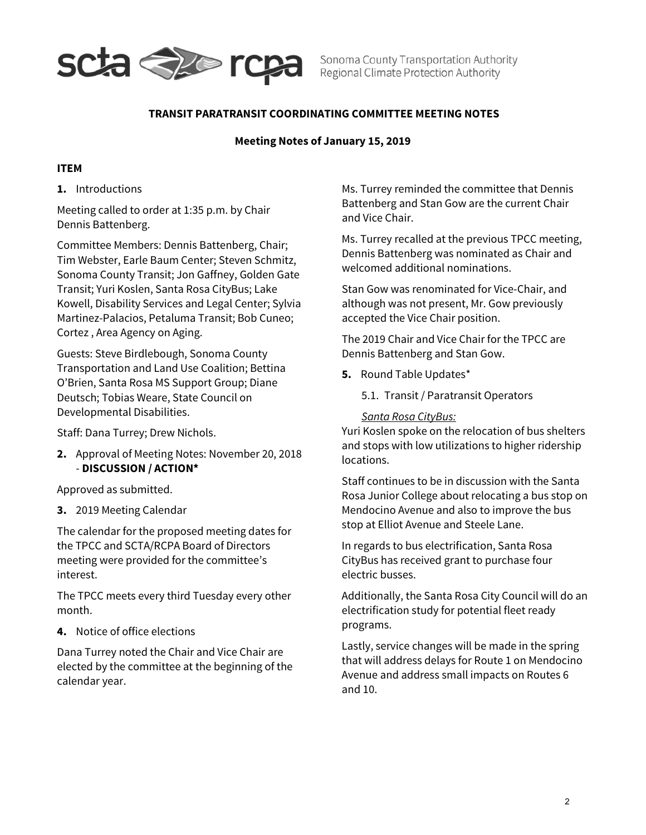

Sonoma County Transportation Authority Regional Climate Protection Authority

## **TRANSIT PARATRANSIT COORDINATING COMMITTEE MEETING NOTES**

### **Meeting Notes of January 15, 2019**

### **ITEM**

**1.** Introductions

Meeting called to order at 1:35 p.m. by Chair Dennis Battenberg.

Committee Members: Dennis Battenberg, Chair; Tim Webster, Earle Baum Center; Steven Schmitz, Sonoma County Transit; Jon Gaffney, Golden Gate Transit; Yuri Koslen, Santa Rosa CityBus; Lake Kowell, Disability Services and Legal Center; Sylvia Martinez-Palacios, Petaluma Transit; Bob Cuneo; Cortez , Area Agency on Aging.

Guests: Steve Birdlebough, Sonoma County Transportation and Land Use Coalition; Bettina O'Brien, Santa Rosa MS Support Group; Diane Deutsch; Tobias Weare, State Council on Developmental Disabilities.

Staff: Dana Turrey; Drew Nichols.

**2.** Approval of Meeting Notes: November 20, 2018 - **DISCUSSION / ACTION\***

Approved as submitted.

**3.** 2019 Meeting Calendar

The calendar for the proposed meeting dates for the TPCC and SCTA/RCPA Board of Directors meeting were provided for the committee's interest.

The TPCC meets every third Tuesday every other month.

**4.** Notice of office elections

Dana Turrey noted the Chair and Vice Chair are elected by the committee at the beginning of the calendar year.

Ms. Turrey reminded the committee that Dennis Battenberg and Stan Gow are the current Chair and Vice Chair.

Ms. Turrey recalled at the previous TPCC meeting, Dennis Battenberg was nominated as Chair and welcomed additional nominations.

Stan Gow was renominated for Vice-Chair, and although was not present, Mr. Gow previously accepted the Vice Chair position.

The 2019 Chair and Vice Chair for the TPCC are Dennis Battenberg and Stan Gow.

- **5.** Round Table Updates\*
	- 5.1. Transit / Paratransit Operators

*Santa Rosa CityBus:*

Yuri Koslen spoke on the relocation of bus shelters and stops with low utilizations to higher ridership locations.

Staff continues to be in discussion with the Santa Rosa Junior College about relocating a bus stop on Mendocino Avenue and also to improve the bus stop at Elliot Avenue and Steele Lane.

In regards to bus electrification, Santa Rosa CityBus has received grant to purchase four electric busses.

Additionally, the Santa Rosa City Council will do an electrification study for potential fleet ready programs.

Lastly, service changes will be made in the spring that will address delays for Route 1 on Mendocino Avenue and address small impacts on Routes 6 and 10.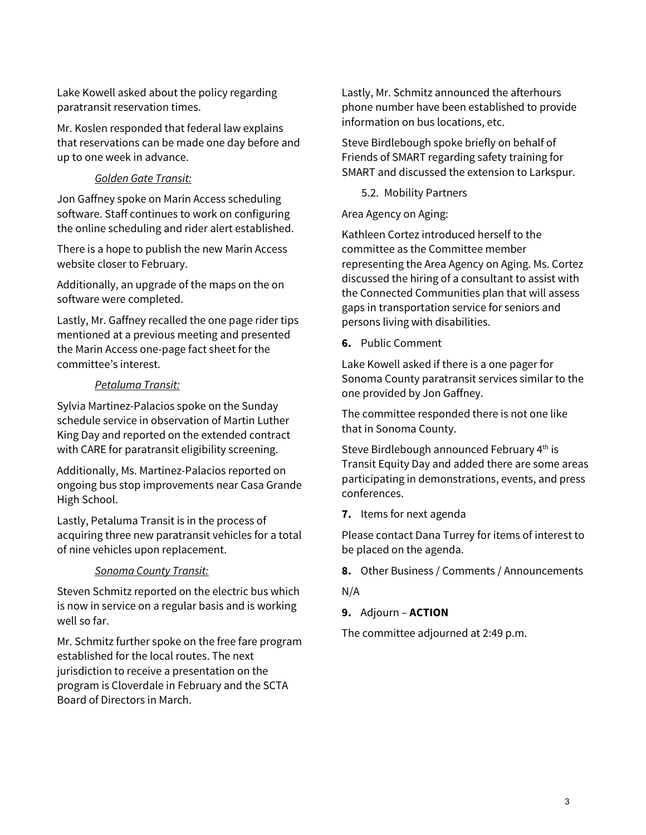Lake Kowell asked about the policy regarding paratransit reservation times.

Mr. Koslen responded that federal law explains that reservations can be made one day before and up to one week in advance.

## *Golden Gate Transit:*

Jon Gaffney spoke on Marin Access scheduling software. Staff continues to work on configuring the online scheduling and rider alert established.

There is a hope to publish the new Marin Access website closer to February.

Additionally, an upgrade of the maps on the on software were completed.

Lastly, Mr. Gaffney recalled the one page rider tips mentioned at a previous meeting and presented the Marin Access one-page fact sheet for the committee's interest.

## *Petaluma Transit:*

Sylvia Martinez-Palacios spoke on the Sunday schedule service in observation of Martin Luther King Day and reported on the extended contract with CARE for paratransit eligibility screening.

Additionally, Ms. Martinez-Palacios reported on ongoing bus stop improvements near Casa Grande High School.

Lastly, Petaluma Transit is in the process of acquiring three new paratransit vehicles for a total of nine vehicles upon replacement.

## *Sonoma County Transit:*

Steven Schmitz reported on the electric bus which is now in service on a regular basis and is working well so far.

Mr. Schmitz further spoke on the free fare program established for the local routes. The next jurisdiction to receive a presentation on the program is Cloverdale in February and the SCTA Board of Directors in March.

Lastly, Mr. Schmitz announced the afterhours phone number have been established to provide information on bus locations, etc.

Steve Birdlebough spoke briefly on behalf of Friends of SMART regarding safety training for SMART and discussed the extension to Larkspur.

5.2. Mobility Partners

Area Agency on Aging:

Kathleen Cortez introduced herself to the committee as the Committee member representing the Area Agency on Aging. Ms. Cortez discussed the hiring of a consultant to assist with the Connected Communities plan that will assess gaps in transportation service for seniors and persons living with disabilities.

**6.** Public Comment

Lake Kowell asked if there is a one pager for Sonoma County paratransit services similar to the one provided by Jon Gaffney.

The committee responded there is not one like that in Sonoma County.

Steve Birdlebough announced February 4<sup>th</sup> is Transit Equity Day and added there are some areas participating in demonstrations, events, and press conferences.

**7.** Items for next agenda

Please contact Dana Turrey for items of interest to be placed on the agenda.

**8.** Other Business / Comments / Announcements

N/A

**9.** Adjourn – **ACTION**

The committee adjourned at 2:49 p.m.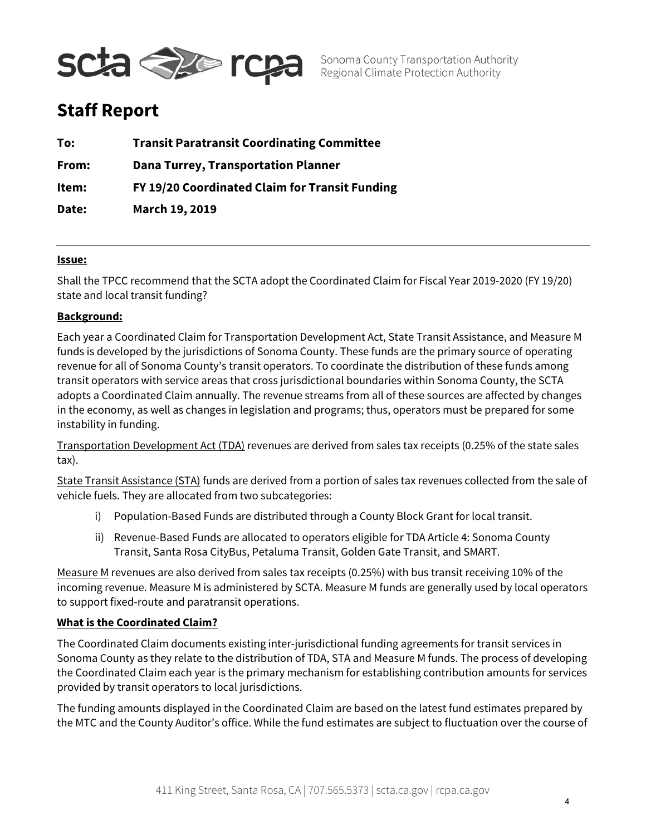

Sonoma County Transportation Authority Regional Climate Protection Authority

# **Staff Report**

| To:   | <b>Transit Paratransit Coordinating Committee</b> |
|-------|---------------------------------------------------|
| From: | <b>Dana Turrey, Transportation Planner</b>        |
| Item: | FY 19/20 Coordinated Claim for Transit Funding    |
| Date: | March 19, 2019                                    |

## **Issue:**

Shall the TPCC recommend that the SCTA adopt the Coordinated Claim for Fiscal Year 2019-2020 (FY 19/20) state and local transit funding?

## **Background:**

Each year a Coordinated Claim for Transportation Development Act, State Transit Assistance, and Measure M funds is developed by the jurisdictions of Sonoma County. These funds are the primary source of operating revenue for all of Sonoma County's transit operators. To coordinate the distribution of these funds among transit operators with service areas that cross jurisdictional boundaries within Sonoma County, the SCTA adopts a Coordinated Claim annually. The revenue streams from all of these sources are affected by changes in the economy, as well as changes in legislation and programs; thus, operators must be prepared for some instability in funding.

Transportation Development Act (TDA) revenues are derived from sales tax receipts (0.25% of the state sales tax).

State Transit Assistance (STA) funds are derived from a portion of sales tax revenues collected from the sale of vehicle fuels. They are allocated from two subcategories:

- i) Population-Based Funds are distributed through a County Block Grant for local transit.
- ii) Revenue-Based Funds are allocated to operators eligible for TDA Article 4: Sonoma County Transit, Santa Rosa CityBus, Petaluma Transit, Golden Gate Transit, and SMART.

Measure M revenues are also derived from sales tax receipts (0.25%) with bus transit receiving 10% of the incoming revenue. Measure M is administered by SCTA. Measure M funds are generally used by local operators to support fixed-route and paratransit operations.

### **What is the Coordinated Claim?**

The Coordinated Claim documents existing inter-jurisdictional funding agreements for transit services in Sonoma County as they relate to the distribution of TDA, STA and Measure M funds. The process of developing the Coordinated Claim each year is the primary mechanism for establishing contribution amounts for services provided by transit operators to local jurisdictions.

The funding amounts displayed in the Coordinated Claim are based on the latest fund estimates prepared by the MTC and the County Auditor's office. While the fund estimates are subject to fluctuation over the course of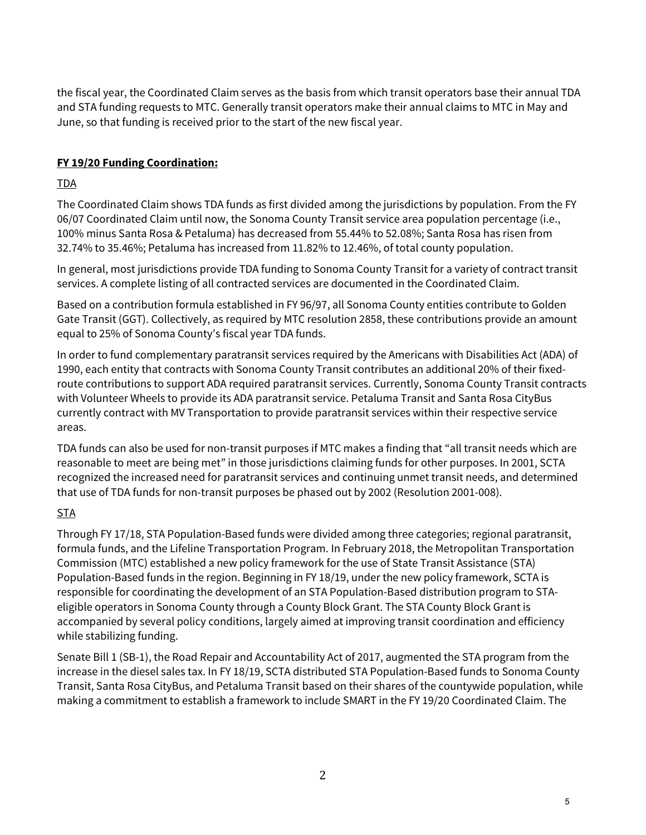the fiscal year, the Coordinated Claim serves as the basis from which transit operators base their annual TDA and STA funding requests to MTC. Generally transit operators make their annual claims to MTC in May and June, so that funding is received prior to the start of the new fiscal year.

## **FY 19/20 Funding Coordination:**

## TDA

The Coordinated Claim shows TDA funds as first divided among the jurisdictions by population. From the FY 06/07 Coordinated Claim until now, the Sonoma County Transit service area population percentage (i.e., 100% minus Santa Rosa & Petaluma) has decreased from 55.44% to 52.08%; Santa Rosa has risen from 32.74% to 35.46%; Petaluma has increased from 11.82% to 12.46%, of total county population.

In general, most jurisdictions provide TDA funding to Sonoma County Transit for a variety of contract transit services. A complete listing of all contracted services are documented in the Coordinated Claim.

Based on a contribution formula established in FY 96/97, all Sonoma County entities contribute to Golden Gate Transit (GGT). Collectively, as required by MTC resolution 2858, these contributions provide an amount equal to 25% of Sonoma County's fiscal year TDA funds.

In order to fund complementary paratransit services required by the Americans with Disabilities Act (ADA) of 1990, each entity that contracts with Sonoma County Transit contributes an additional 20% of their fixedroute contributions to support ADA required paratransit services. Currently, Sonoma County Transit contracts with Volunteer Wheels to provide its ADA paratransit service. Petaluma Transit and Santa Rosa CityBus currently contract with MV Transportation to provide paratransit services within their respective service areas.

TDA funds can also be used for non-transit purposes if MTC makes a finding that "all transit needs which are reasonable to meet are being met" in those jurisdictions claiming funds for other purposes. In 2001, SCTA recognized the increased need for paratransit services and continuing unmet transit needs, and determined that use of TDA funds for non-transit purposes be phased out by 2002 (Resolution 2001-008).

## STA

Through FY 17/18, STA Population-Based funds were divided among three categories; regional paratransit, formula funds, and the Lifeline Transportation Program. In February 2018, the Metropolitan Transportation Commission (MTC) established a new policy framework for the use of State Transit Assistance (STA) Population-Based funds in the region. Beginning in FY 18/19, under the new policy framework, SCTA is responsible for coordinating the development of an STA Population-Based distribution program to STAeligible operators in Sonoma County through a County Block Grant. The STA County Block Grant is accompanied by several policy conditions, largely aimed at improving transit coordination and efficiency while stabilizing funding.

Senate Bill 1 (SB-1), the Road Repair and Accountability Act of 2017, augmented the STA program from the increase in the diesel sales tax. In FY 18/19, SCTA distributed STA Population-Based funds to Sonoma County Transit, Santa Rosa CityBus, and Petaluma Transit based on their shares of the countywide population, while making a commitment to establish a framework to include SMART in the FY 19/20 Coordinated Claim. The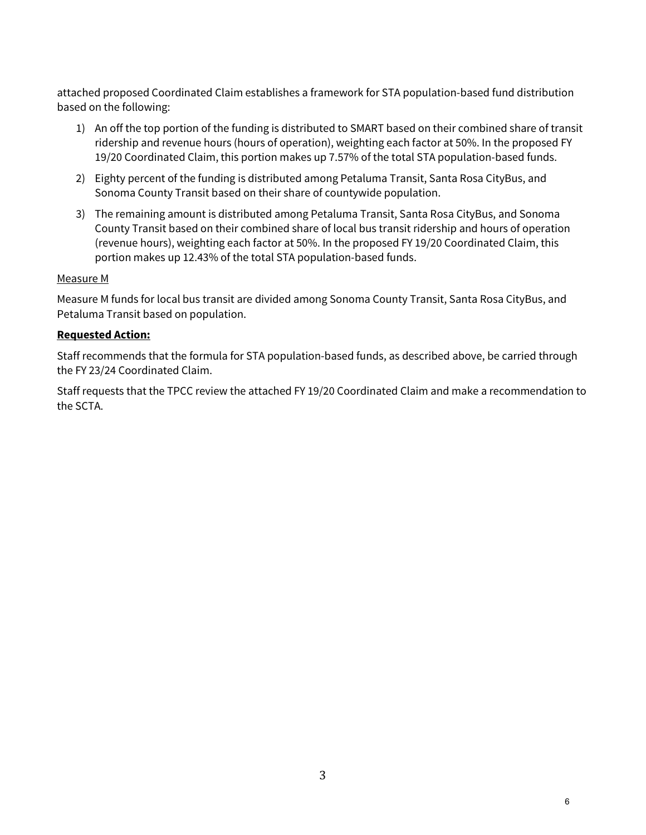attached proposed Coordinated Claim establishes a framework for STA population-based fund distribution based on the following:

- 1) An off the top portion of the funding is distributed to SMART based on their combined share of transit ridership and revenue hours (hours of operation), weighting each factor at 50%. In the proposed FY 19/20 Coordinated Claim, this portion makes up 7.57% of the total STA population-based funds.
- 2) Eighty percent of the funding is distributed among Petaluma Transit, Santa Rosa CityBus, and Sonoma County Transit based on their share of countywide population.
- 3) The remaining amount is distributed among Petaluma Transit, Santa Rosa CityBus, and Sonoma County Transit based on their combined share of local bus transit ridership and hours of operation (revenue hours), weighting each factor at 50%. In the proposed FY 19/20 Coordinated Claim, this portion makes up 12.43% of the total STA population-based funds.

## Measure M

Measure M funds for local bus transit are divided among Sonoma County Transit, Santa Rosa CityBus, and Petaluma Transit based on population.

## **Requested Action:**

Staff recommends that the formula for STA population-based funds, as described above, be carried through the FY 23/24 Coordinated Claim.

Staff requests that the TPCC review the attached FY 19/20 Coordinated Claim and make a recommendation to the SCTA.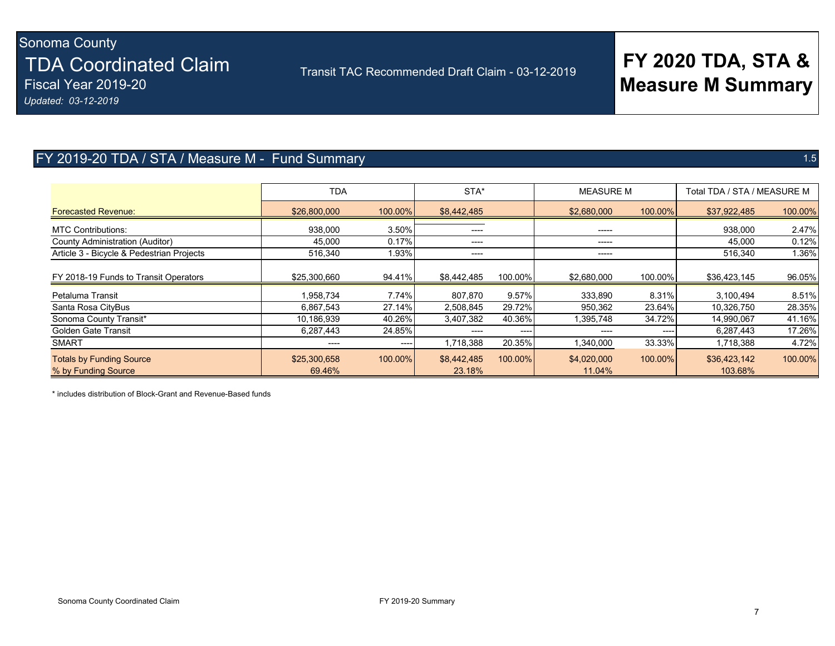# Sonoma County TDA Coordinated Claim Fiscal Year 2019-20

Transit TAC Recommended Draft Claim - 03-12-2019

# **FY 2020 TDA, STA & Measure M Summary**

*Updated: 03-12-2019*

## FY 2019-20 TDA / STA / Measure M - Fund Summary 1.5

|                                                        | <b>TDA</b>             |         | STA*                  |         | <b>MEASURE M</b>      |         | Total TDA / STA / MEASURE M |         |
|--------------------------------------------------------|------------------------|---------|-----------------------|---------|-----------------------|---------|-----------------------------|---------|
| <b>Forecasted Revenue:</b>                             | \$26,800,000           | 100.00% | \$8,442,485           |         | \$2,680,000           | 100.00% | \$37,922,485                | 100.00% |
| <b>MTC Contributions:</b>                              | 938,000                | 3.50%   | ----                  |         | ------                |         | 938,000                     | 2.47%   |
| County Administration (Auditor)                        | 45,000                 | 0.17%   | ----                  |         | -----                 |         | 45,000                      | 0.12%   |
| Article 3 - Bicycle & Pedestrian Projects              | 516,340                | 1.93%   | ----                  |         | -----                 |         | 516,340                     | 1.36%   |
| FY 2018-19 Funds to Transit Operators                  | \$25,300,660           | 94.41%  | \$8,442,485           | 100.00% | \$2,680,000           | 100.00% | \$36,423,145                | 96.05%  |
| Petaluma Transit                                       | 1,958,734              | 7.74%   | 807,870               | 9.57%   | 333,890               | 8.31%   | 3,100,494                   | 8.51%   |
| Santa Rosa CityBus                                     | 6,867,543              | 27.14%  | 2,508,845             | 29.72%  | 950,362               | 23.64%  | 10,326,750                  | 28.35%  |
| Sonoma County Transit*                                 | 10,186,939             | 40.26%  | 3,407,382             | 40.36%  | 1,395,748             | 34.72%  | 14,990,067                  | 41.16%  |
| Golden Gate Transit                                    | 6,287,443              | 24.85%  |                       | ----    | -----                 | ----    | 6,287,443                   | 17.26%  |
| <b>SMART</b>                                           | ----                   | ----    | 1,718,388             | 20.35%  | 1,340,000             | 33.33%  | 1,718,388                   | 4.72%   |
| <b>Totals by Funding Source</b><br>% by Funding Source | \$25,300,658<br>69.46% | 100.00% | \$8,442,485<br>23.18% | 100.00% | \$4,020,000<br>11.04% | 100.00% | \$36,423,142<br>103.68%     | 100.00% |

\* includes distribution of Block-Grant and Revenue-Based funds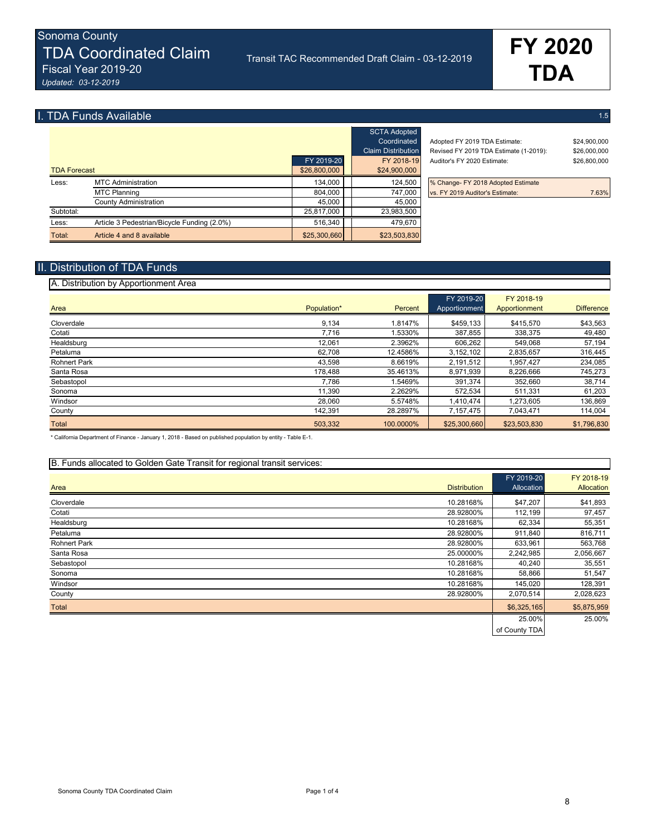# **I. TDA Funds Available** 1.5 **1.5** 1.5 **1.5** 1.5 **1.5** 1.5 **1.5** 1.5 **1.5** 1.5 **1.5** 1.5 **1.5** 1.5 **1.5** 1.5 **1.5** 1.5 **1.5** 1.5 **1.5** 1.5 **1.5** 1.5 **1.5** 1.5 **1.5** 1.5 **1.5** 1.5 **1.5** 1.5 **1.5** 1.5 **1.5** 1.5 **1.5** 1.5 **1.**

|                     |                                             |              | <b>SCTA Adopted</b><br>Coordinated<br><b>Claim Distribution</b> |
|---------------------|---------------------------------------------|--------------|-----------------------------------------------------------------|
|                     |                                             | FY 2019-20   | FY 2018-19                                                      |
| <b>TDA Forecast</b> |                                             | \$26,800,000 | \$24,900,000                                                    |
| Less:               | <b>MTC Administration</b>                   | 134,000      | 124,500                                                         |
|                     | <b>MTC Planning</b>                         | 804,000      | 747,000                                                         |
|                     | County Administration                       | 45.000       | 45.000                                                          |
| Subtotal:           |                                             | 25,817,000   | 23.983.500                                                      |
| Less:               | Article 3 Pedestrian/Bicycle Funding (2.0%) | 516,340      | 479,670                                                         |
| Total:              | Article 4 and 8 available                   | \$25,300,660 | \$23,503,830                                                    |

| 26,800,000 | \$24,900,000              |                                        |              |
|------------|---------------------------|----------------------------------------|--------------|
| FY 2019-20 | FY 2018-19                | Auditor's FY 2020 Estimate:            | \$26,800,000 |
|            | <b>Claim Distribution</b> | Revised FY 2019 TDA Estimate (1-2019): | \$26,000,000 |
|            | Coordinated               | Adopted FY 2019 TDA Estimate:          | \$24,900,000 |
|            | <b>SCTA Adopted</b>       |                                        |              |

% Change- FY 2018 Adopted Estimate vs. FY 2019 Auditor's Estimate: 7.63%

### II. Distribution of TDA Funds

#### A. Distribution by Apportionment Area FY 2019-20 FY 2018-19 Area **Population\*** Percent Apportionment Apportionment Difference Cloverdale 9,134 1.8147% \$459,133 \$415,570 \$43,563 Cotati 7,716 1.5330% 387,855 338,375 49,480 Healdsburg 12,061 2.3962% | 606,262 | 549,068 57,194 Petaluma 62,708 12.4586% 3,152,102 2,835,657 316,445 Rohnert Park 43,598 8.6619% 2,191,512 1,957,427 234,085 Santa Rosa 178,488 35.4613% 8,971,939 8,226,666 745,273 Sebastopol 7,786 1.5469% 391,374 352,660 38,714 Sonoma 11,390 2.2629% 572,534 511,331 61,203 Windsor 28,060 5.5748% 1,410,474 1,273,605 136,869 County 142,391 28.2897% | 7,157,475 | 7,043,471 114,004 Total 503,332 100.0000% \$23,503,830 \$1,796,830 \$1,796,830 \$1,796,830 \$1,796,830 \$1,796,830 \$1,796,830 \$1,796,830

\* California Department of Finance - January 1, 2018 - Based on published population by entity - Table E-1.

| B. Funds allocated to Golden Gate Transit for regional transit services: |                     |                          |                          |
|--------------------------------------------------------------------------|---------------------|--------------------------|--------------------------|
| Area                                                                     | <b>Distribution</b> | FY 2019-20<br>Allocation | FY 2018-19<br>Allocation |
| Cloverdale                                                               | 10.28168%           | \$47,207                 | \$41,893                 |
| Cotati                                                                   | 28.92800%           | 112,199                  | 97,457                   |
| Healdsburg                                                               | 10.28168%           | 62,334                   | 55,351                   |
| Petaluma                                                                 | 28.92800%           | 911,840                  | 816,711                  |
| <b>Rohnert Park</b>                                                      | 28.92800%           | 633,961                  | 563,768                  |
| Santa Rosa                                                               | 25.00000%           | 2,242,985                | 2,056,667                |
| Sebastopol                                                               | 10.28168%           | 40,240                   | 35,551                   |
| Sonoma                                                                   | 10.28168%           | 58,866                   | 51,547                   |
| Windsor                                                                  | 10.28168%           | 145,020                  | 128,391                  |
| County                                                                   | 28.92800%           | 2,070,514                | 2,028,623                |
| <b>Total</b>                                                             |                     | \$6,325,165              | \$5,875,959              |
|                                                                          |                     | 25.00%                   | 25.00%                   |
|                                                                          |                     | of County TDA            |                          |

Sonoma County TDA Coordinated Claim Page 1 of 4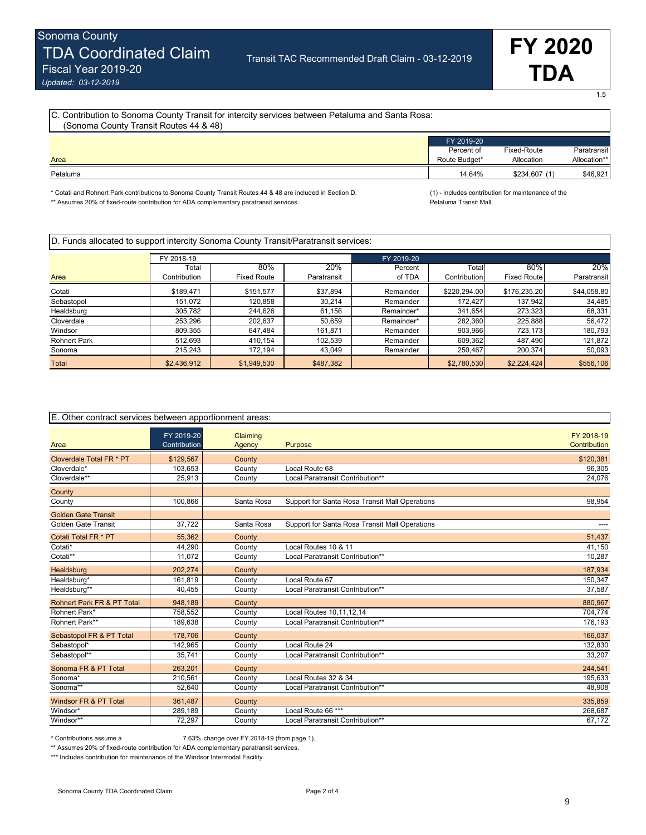1.5

| C. Contribution to Sonoma County Transit for intercity services between Petaluma and Santa Rosa:<br>(Sonoma County Transit Routes 44 & 48) |                                           |                           |                             |  |  |  |
|--------------------------------------------------------------------------------------------------------------------------------------------|-------------------------------------------|---------------------------|-----------------------------|--|--|--|
| Area                                                                                                                                       | FY 2019-20<br>Percent of<br>Route Budget* | Fixed-Route<br>Allocation | Paratransit<br>Allocation** |  |  |  |
| Petaluma                                                                                                                                   | 14.64%                                    | \$234,607 (1)             | \$46,921                    |  |  |  |

\* Cotati and Rohnert Park contributions to Sonoma County Transit Routes 44 & 48 are included in Section D. (1) - includes contribution for maintenance of the

\*\* Assumes 20% of fixed-route contribution for ADA complementary paratransit services. Petaluma Transit Mall.

| D. Funds allocated to support intercity Sonoma County Transit/Paratransit services: |              |                    |             |            |              |                    |             |  |  |
|-------------------------------------------------------------------------------------|--------------|--------------------|-------------|------------|--------------|--------------------|-------------|--|--|
|                                                                                     | FY 2018-19   |                    |             | FY 2019-20 |              |                    |             |  |  |
|                                                                                     | Total        | 80%                | 20%         | Percent    | Total        | $80\%$             | 20%         |  |  |
| Area                                                                                | Contribution | <b>Fixed Route</b> | Paratransit | of TDA     | Contribution | <b>Fixed Route</b> | Paratransit |  |  |
| Cotati                                                                              | \$189,471    | \$151.577          | \$37,894    | Remainder  | \$220,294.00 | \$176,235,20       | \$44,058.80 |  |  |
| Sebastopol                                                                          | 151.072      | 120.858            | 30.214      | Remainder  | 172.427      | 137,942            | 34,485      |  |  |
| Healdsburg                                                                          | 305.782      | 244,626            | 61.156      | Remainder* | 341.654      | 273,323            | 68,331      |  |  |
| Cloverdale                                                                          | 253.296      | 202,637            | 50,659      | Remainder* | 282,360      | 225,888            | 56,472      |  |  |
| Windsor                                                                             | 809,355      | 647.484            | 161,871     | Remainder  | 903,966      | 723,173            | 180,793     |  |  |
| <b>Rohnert Park</b>                                                                 | 512.693      | 410.154            | 102.539     | Remainder  | 609.362      | 487.490            | 121,872     |  |  |
| Sonoma                                                                              | 215.243      | 172,194            | 43,049      | Remainder  | 250,467      | 200,374            | 50.093      |  |  |
| Total                                                                               | \$2,436,912  | \$1,949,530        | \$487,382   |            | \$2,780,530  | \$2,224,424        | \$556,106   |  |  |

| E. Other contract services between apportionment areas: |                            |                    |                                                |                            |  |  |
|---------------------------------------------------------|----------------------------|--------------------|------------------------------------------------|----------------------------|--|--|
| Area                                                    | FY 2019-20<br>Contribution | Claiming<br>Agency | Purpose                                        | FY 2018-19<br>Contribution |  |  |
| Cloverdale Total FR * PT                                | \$129,567                  | County             |                                                | \$120,381                  |  |  |
| Cloverdale*                                             | 103,653                    | County             | Local Route 68                                 | 96,305                     |  |  |
| Cloverdale**                                            | 25,913                     | County             | Local Paratransit Contribution**               | 24,076                     |  |  |
| County                                                  |                            |                    |                                                |                            |  |  |
| County                                                  | 100,866                    | Santa Rosa         | Support for Santa Rosa Transit Mall Operations | 98,954                     |  |  |
| <b>Golden Gate Transit</b>                              |                            |                    |                                                |                            |  |  |
| <b>Golden Gate Transit</b>                              | 37,722                     | Santa Rosa         | Support for Santa Rosa Transit Mall Operations | ----                       |  |  |
| Cotati Total FR * PT                                    | 55,362                     | County             |                                                | 51,437                     |  |  |
| Cotati*                                                 | 44.290                     | County             | Local Routes 10 & 11                           | 41,150                     |  |  |
| Cotati**                                                | 11,072                     | County             | Local Paratransit Contribution**               | 10,287                     |  |  |
| Healdsburg                                              | 202.274                    | County             |                                                | 187.934                    |  |  |
| Healdsburg*                                             | 161,819                    | County             | Local Route 67                                 | 150,347                    |  |  |
| Healdsburg**                                            | 40,455                     | County             | Local Paratransit Contribution**               | 37,587                     |  |  |
| Rohnert Park FR & PT Total                              | 948.189                    | County             |                                                | 880,967                    |  |  |
| Rohnert Park*                                           | 758,552                    | County             | Local Routes 10,11,12,14                       | 704,774                    |  |  |
| Rohnert Park**                                          | 189,638                    | County             | Local Paratransit Contribution**               | 176,193                    |  |  |
| Sebastopol FR & PT Total                                | 178,706                    | County             |                                                | 166,037                    |  |  |
| Sebastopol*                                             | 142.965                    | County             | Local Route 24                                 | 132,830                    |  |  |
| Sebastopol**                                            | 35,741                     | County             | Local Paratransit Contribution**               | 33,207                     |  |  |
| Sonoma FR & PT Total                                    | 263,201                    | County             |                                                | 244,541                    |  |  |
| Sonoma*                                                 | 210,561                    | County             | Local Routes 32 & 34                           | 195,633                    |  |  |
| Sonoma**                                                | 52,640                     | County             | Local Paratransit Contribution**               | 48,908                     |  |  |
| Windsor FR & PT Total                                   | 361,487                    | County             |                                                | 335,859                    |  |  |
| Windsor*                                                | 289,189                    | County             | Local Route 66 ***                             | 268,687                    |  |  |
| Windsor**                                               | 72,297                     | County             | Local Paratransit Contribution**               | 67,172                     |  |  |

\* Contributions assume a 7.63% change over FY 2018-19 (from page 1).

\*\* Assumes 20% of fixed-route contribution for ADA complementary paratransit services.

\*\*\* Includes contribution for maintenance of the Windsor Intermodal Facility.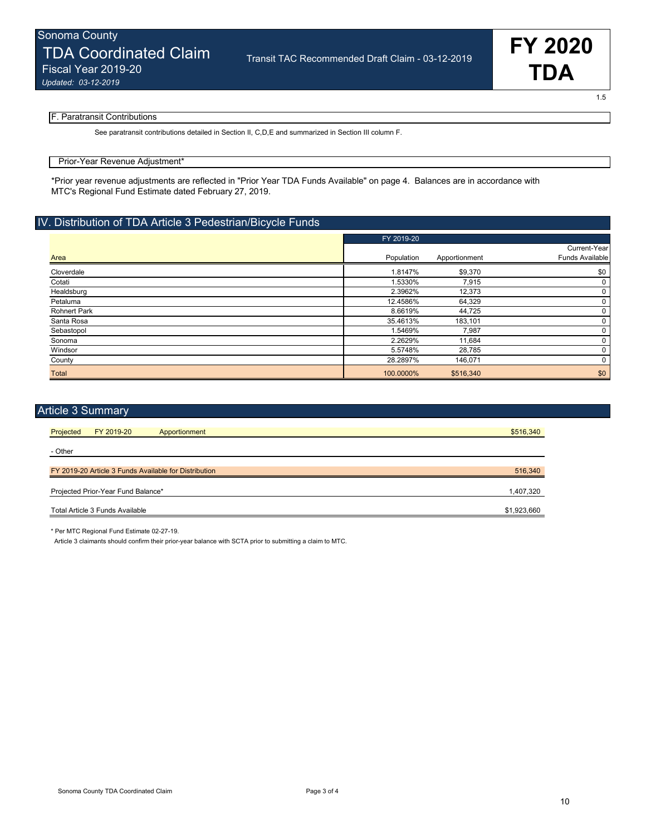1.5

#### F. Paratransit Contributions

See paratransit contributions detailed in Section II, C, D, E and summarized in Section III column F.

#### Prior-Year Revenue Adjustment\*

\*Prior year revenue adjustments are reflected in "Prior Year TDA Funds Available" on page 4. Balances are in accordance with MTC's Regional Fund Estimate dated February 27, 2019.

### IV. Distribution of TDA Article 3 Pedestrian/Bicycle Funds

|                     | FY 2019-20 |               |                 |
|---------------------|------------|---------------|-----------------|
|                     |            |               | Current-Year    |
| Area                | Population | Apportionment | Funds Available |
| Cloverdale          | 1.8147%    | \$9,370       | \$0             |
| Cotati              | 1.5330%    | 7,915         | 0               |
| Healdsburg          | 2.3962%    | 12,373        | 0               |
| Petaluma            | 12.4586%   | 64,329        | 0               |
| <b>Rohnert Park</b> | 8.6619%    | 44,725        | 0               |
| Santa Rosa          | 35.4613%   | 183,101       | 0               |
| Sebastopol          | 1.5469%    | 7,987         | 0               |
| Sonoma              | 2.2629%    | 11,684        | 0               |
| Windsor             | 5.5748%    | 28,785        | 0               |
| County              | 28.2897%   | 146,071       | 0               |
| <b>Total</b>        | 100.0000%  | \$516,340     | \$0             |

| <b>Article 3 Summary</b>                              |               |             |
|-------------------------------------------------------|---------------|-------------|
| Projected<br>FY 2019-20                               | Apportionment | \$516,340   |
| - Other                                               |               |             |
| FY 2019-20 Article 3 Funds Available for Distribution |               | 516,340     |
| Projected Prior-Year Fund Balance*                    |               | 1,407,320   |
| Total Article 3 Funds Available                       |               | \$1,923,660 |

\* Per MTC Regional Fund Estimate 02-27-19.

Article 3 claimants should confirm their prior-year balance with SCTA prior to submitting a claim to MTC.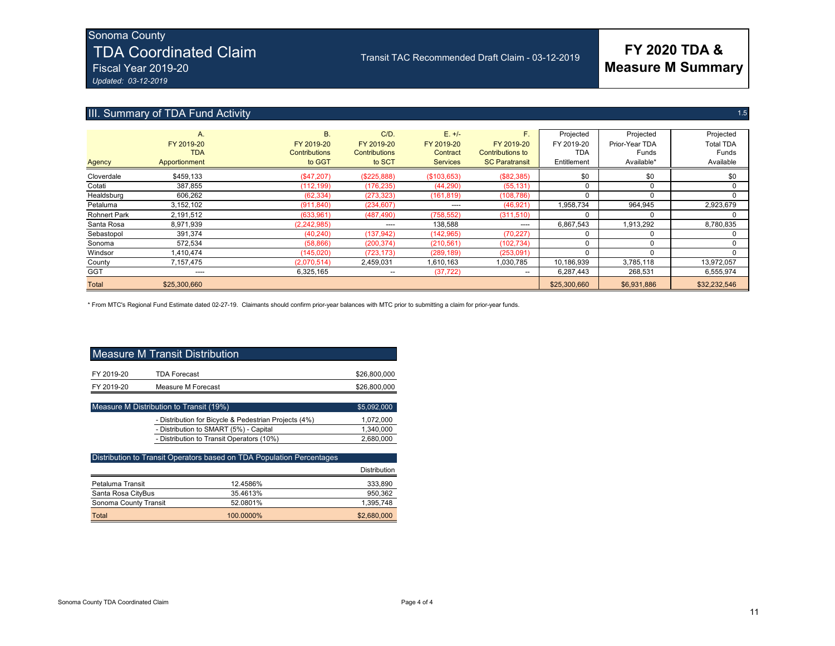## Sonoma County

# TDA Coordinated Claim

Fiscal Year 2019-20 *Updated: 03-12-2019*

## III. Summary of TDA Fund Activity

|  | 1.5 |
|--|-----|
|  |     |
|  |     |
|  |     |

**FY 2020 TDA & Measure M Summary**

| Agency              | А.<br>FY 2019-20<br><b>TDA</b><br>Apportionment | <b>B.</b><br>FY 2019-20<br><b>Contributions</b><br>to GGT | $C/D$ .<br>FY 2019-20<br><b>Contributions</b><br>to SCT | $E. +/-$<br>FY 2019-20<br>Contract<br><b>Services</b> | F.<br>FY 2019-20<br><b>Contributions to</b><br><b>SC Paratransit</b> | Projected<br>FY 2019-20<br>TDA<br>Entitlement | Projected<br>Prior-Year TDA<br>Funds<br>Available* | Projected<br><b>Total TDA</b><br>Funds<br>Available |
|---------------------|-------------------------------------------------|-----------------------------------------------------------|---------------------------------------------------------|-------------------------------------------------------|----------------------------------------------------------------------|-----------------------------------------------|----------------------------------------------------|-----------------------------------------------------|
| Cloverdale          | \$459.133                                       | (\$47,207)                                                | (S225.888)                                              | (\$103,653)                                           | (\$82,385)                                                           | \$0                                           | \$0                                                | \$0                                                 |
| Cotati              | 387.855                                         | (112, 199)                                                | (176, 235)                                              | (44, 290)                                             | (55, 131)                                                            |                                               |                                                    |                                                     |
| Healdsburg          | 606.262                                         | (62, 334)                                                 | (273, 323)                                              | (161, 819)                                            | (108, 786)                                                           |                                               | 0                                                  |                                                     |
| Petaluma            | 3.152.102                                       | (911, 840)                                                | (234, 607)                                              | ----                                                  | (46, 921)                                                            | 1.958.734                                     | 964.945                                            | 2,923,679                                           |
| <b>Rohnert Park</b> | 2.191.512                                       | (633, 961)                                                | (487, 490)                                              | (758, 552)                                            | (311,510)                                                            | 0                                             | 0                                                  |                                                     |
| Santa Rosa          | 8.971.939                                       | (2, 242, 985)                                             | $---$                                                   | 138.588                                               | $- - - -$                                                            | 6,867,543                                     | 1.913.292                                          | 8,780,835                                           |
| Sebastopol          | 391.374                                         | (40, 240)                                                 | (137, 942)                                              | (142, 965)                                            | (70, 227)                                                            |                                               | $\Omega$                                           |                                                     |
| Sonoma              | 572.534                                         | (58, 866)                                                 | (200.374)                                               | (210.561)                                             | (102, 734)                                                           |                                               |                                                    |                                                     |
| Windsor             | 1,410,474                                       | (145, 020)                                                | (723, 173)                                              | (289, 189)                                            | (253,091)                                                            | O                                             |                                                    |                                                     |
| County              | 7.157.475                                       | (2,070,514)                                               | 2,459,031                                               | 1,610,163                                             | 1,030,785                                                            | 10,186,939                                    | 3,785,118                                          | 13,972,057                                          |
| <b>GGT</b>          | $---$                                           | 6,325,165                                                 | --                                                      | (37, 722)                                             | --                                                                   | 6.287.443                                     | 268,531                                            | 6,555,974                                           |
| <b>Total</b>        | \$25,300,660                                    |                                                           |                                                         |                                                       |                                                                      | \$25,300,660                                  | \$6,931,886                                        | \$32,232,546                                        |

Transit TAC Recommended Draft Claim - 03-12-2019

\* From MTC's Regional Fund Estimate dated 02-27-19. Claimants should confirm prior-year balances with MTC prior to submitting a claim for prior-year funds.

| Measure M Transit Distribution |                     |              |  |  |  |  |
|--------------------------------|---------------------|--------------|--|--|--|--|
| FY 2019-20                     | <b>TDA Forecast</b> | \$26,800,000 |  |  |  |  |
| FY 2019-20                     | Measure M Forecast  | \$26,800,000 |  |  |  |  |
|                                |                     |              |  |  |  |  |

| Measure M Distribution to Transit (19%)               | \$5,092,000 |
|-------------------------------------------------------|-------------|
| - Distribution for Bicycle & Pedestrian Projects (4%) | 1.072.000   |
| - Distribution to SMART (5%) - Capital                | 1.340.000   |
| - Distribution to Transit Operators (10%)             | 2.680.000   |

| Distribution to Transit Operators based on TDA Population Percentages |           |                     |
|-----------------------------------------------------------------------|-----------|---------------------|
|                                                                       |           | <b>Distribution</b> |
| Petaluma Transit                                                      | 12.4586%  | 333,890             |
| Santa Rosa CityBus                                                    | 35.4613%  | 950,362             |
| Sonoma County Transit                                                 | 52.0801%  | 1,395,748           |
| Total                                                                 | 100.0000% | \$2,680,000         |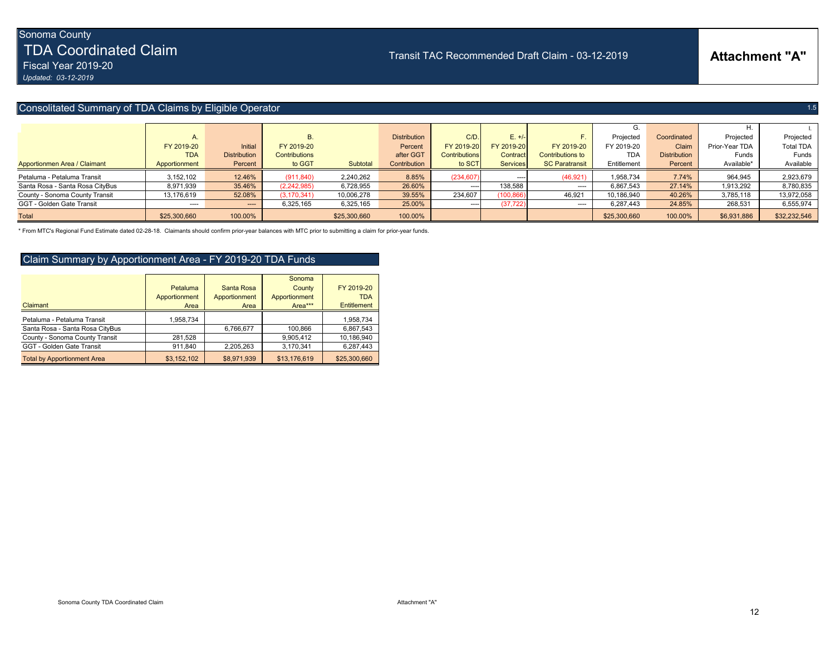TDA Coordinated Claim

Fiscal Year 2019-20 *Updated: 03-12-2019*

### Consolitated Summary of TDA Claims by Eligible Operator 1.5 (1996) and 1.5 (1996) and 1.5 (1996) and 1.5 (1997) and 1.5 (1997) and 1.5 (1997) and 1.5 (1998) and 1.5 (1998) and 1.5 (1999) and 1.5 (1999) and 1.5 (1999) and 1

|                                 |               |                     |               |              |                     |                      |                 |                       | G.           |                     |                |                  |
|---------------------------------|---------------|---------------------|---------------|--------------|---------------------|----------------------|-----------------|-----------------------|--------------|---------------------|----------------|------------------|
|                                 | Α.            |                     | <b>B.</b>     |              | <b>Distribution</b> | C/D                  | $E. +/-$        |                       | Projected    | Coordinated         | Projected      | Projected        |
|                                 | FY 2019-20    | Initial             | FY 2019-20    |              | Percent             | FY 2019-20           | FY 2019-201     | FY 2019-20            | FY 2019-20   | Claim               | Prior-Year TDA | <b>Total TDA</b> |
|                                 | <b>TDA</b>    | <b>Distribution</b> | Contributions |              | after GGT           | <b>Contributions</b> | Contract        | Contributions to      | <b>TDA</b>   | <b>Distribution</b> | Funds          | <b>Funds</b>     |
| Apportionmen Area / Claimant    | Apportionment | Percent             | to GGT        | Subtotal     | Contribution        | to SCT               | <b>Services</b> | <b>SC Paratransit</b> | Entitlement  | Percent             | Available*     | Available        |
| Petaluma - Petaluma Transit     | 3,152,102     | 12.46%              | (911, 840)    | 2,240,262    | 8.85%               | (234, 607)           |                 | (46, 921)             | 1,958,734    | 7.74%               | 964,945        | 2,923,679        |
| Santa Rosa - Santa Rosa CityBus | 8,971,939     | 35.46%              | (2,242,985)   | 6,728,955    | 26.60%              | -----                | 138,588         | $\cdots$              | 6,867,543    | 27.14%              | 1,913,292      | 8,780,835        |
| County - Sonoma County Transit  | 13,176,619    | 52.08%              | (3, 170, 341) | 10,006,278   | 39.55%              | 234,607              | (100, 866)      | 46,921                | 10.186.940   | 40.26%              | 3,785,118      | 13,972,058       |
| GGT - Golden Gate Transit       | ----          | $---$               | 6,325,165     | 6,325,165    | 25.00%              | -----                | (37, 722)       | $\cdots$              | 6,287,443    | 24.85%              | 268,531        | 6,555,974        |
| <b>Total</b>                    | \$25,300,660  | 100.00%             |               | \$25,300,660 | 100.00%             |                      |                 |                       | \$25,300,660 | 100.00%             | \$6,931,886    | \$32,232,546     |

Transit TAC Recommended Draft Claim - 03-12-2019

\* From MTC's Regional Fund Estimate dated 02-28-18. Claimants should confirm prior-year balances with MTC prior to submitting a claim for prior-year funds.

### Claim Summary by Apportionment Area - FY 2019-20 TDA Funds

| Claimant                           | Petaluma<br>Apportionment<br>Area | Santa Rosa<br>Apportionment<br>Area | Sonoma<br>County<br>Apportionment<br>Area*** | FY 2019-20<br><b>TDA</b><br>Entitlement |
|------------------------------------|-----------------------------------|-------------------------------------|----------------------------------------------|-----------------------------------------|
| Petaluma - Petaluma Transit        | 1,958,734                         |                                     |                                              | 1,958,734                               |
| Santa Rosa - Santa Rosa CityBus    |                                   | 6.766.677                           | 100.866                                      | 6.867.543                               |
| County - Sonoma County Transit     | 281.528                           |                                     | 9.905.412                                    | 10.186.940                              |
| GGT - Golden Gate Transit          | 911,840                           | 2.205.263                           | 3,170,341                                    | 6,287,443                               |
| <b>Total by Apportionment Area</b> | \$3,152,102                       | \$8,971,939                         | \$13,176,619                                 | \$25,300,660                            |

## **Attachment "A"**

12